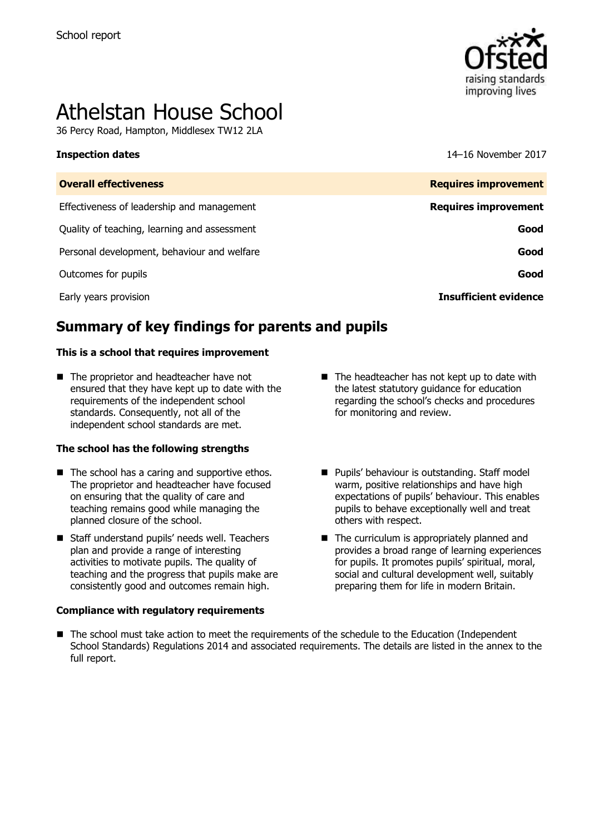

# Athelstan House School

36 Percy Road, Hampton, Middlesex TW12 2LA

**Inspection dates** 14–16 November 2017

| <b>Overall effectiveness</b>                 | <b>Requires improvement</b>  |
|----------------------------------------------|------------------------------|
| Effectiveness of leadership and management   | <b>Requires improvement</b>  |
| Quality of teaching, learning and assessment | Good                         |
| Personal development, behaviour and welfare  | Good                         |
| Outcomes for pupils                          | Good                         |
| Early years provision                        | <b>Insufficient evidence</b> |

# **Summary of key findings for parents and pupils**

#### **This is a school that requires improvement**

■ The proprietor and headteacher have not ensured that they have kept up to date with the requirements of the independent school standards. Consequently, not all of the independent school standards are met.

#### **The school has the following strengths**

- $\blacksquare$  The school has a caring and supportive ethos. The proprietor and headteacher have focused on ensuring that the quality of care and teaching remains good while managing the planned closure of the school.
- Staff understand pupils' needs well. Teachers plan and provide a range of interesting activities to motivate pupils. The quality of teaching and the progress that pupils make are consistently good and outcomes remain high.

#### **Compliance with regulatory requirements**

- $\blacksquare$  The headteacher has not kept up to date with the latest statutory guidance for education regarding the school's checks and procedures for monitoring and review.
- **Pupils' behaviour is outstanding. Staff model** warm, positive relationships and have high expectations of pupils' behaviour. This enables pupils to behave exceptionally well and treat others with respect.
- The curriculum is appropriately planned and provides a broad range of learning experiences for pupils. It promotes pupils' spiritual, moral, social and cultural development well, suitably preparing them for life in modern Britain.
- The school must take action to meet the requirements of the schedule to the Education (Independent School Standards) Regulations 2014 and associated requirements. The details are listed in the annex to the full report.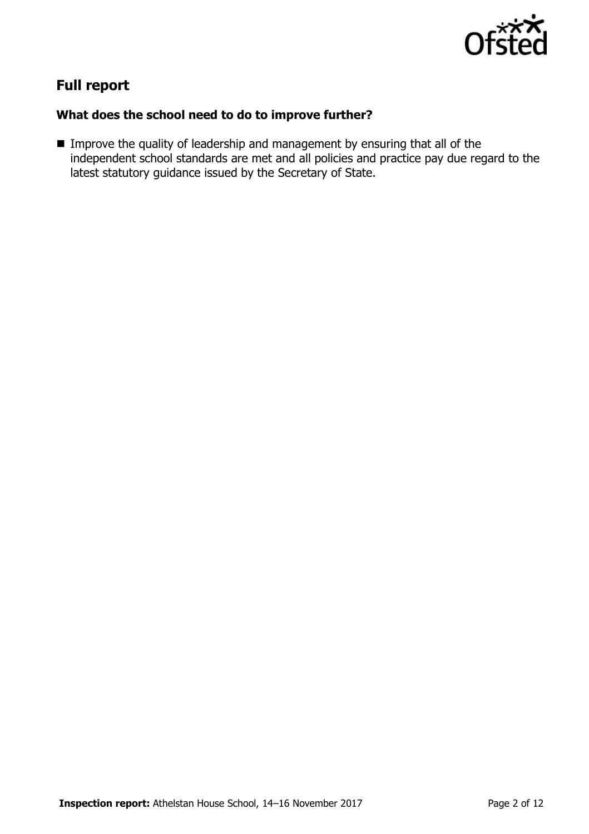

# **Full report**

### **What does the school need to do to improve further?**

**IMPROVE the quality of leadership and management by ensuring that all of the** independent school standards are met and all policies and practice pay due regard to the latest statutory guidance issued by the Secretary of State.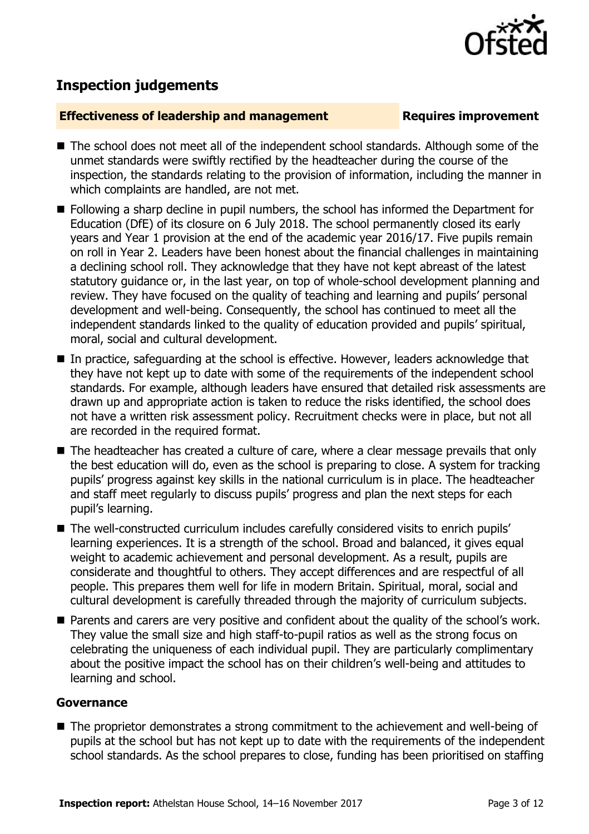

## **Inspection judgements**

#### **Effectiveness of leadership and management Requires improvement**

- The school does not meet all of the independent school standards. Although some of the unmet standards were swiftly rectified by the headteacher during the course of the inspection, the standards relating to the provision of information, including the manner in which complaints are handled, are not met.
- Following a sharp decline in pupil numbers, the school has informed the Department for Education (DfE) of its closure on 6 July 2018. The school permanently closed its early years and Year 1 provision at the end of the academic year 2016/17. Five pupils remain on roll in Year 2. Leaders have been honest about the financial challenges in maintaining a declining school roll. They acknowledge that they have not kept abreast of the latest statutory guidance or, in the last year, on top of whole-school development planning and review. They have focused on the quality of teaching and learning and pupils' personal development and well-being. Consequently, the school has continued to meet all the independent standards linked to the quality of education provided and pupils' spiritual, moral, social and cultural development.
- In practice, safeguarding at the school is effective. However, leaders acknowledge that they have not kept up to date with some of the requirements of the independent school standards. For example, although leaders have ensured that detailed risk assessments are drawn up and appropriate action is taken to reduce the risks identified, the school does not have a written risk assessment policy. Recruitment checks were in place, but not all are recorded in the required format.
- The headteacher has created a culture of care, where a clear message prevails that only the best education will do, even as the school is preparing to close. A system for tracking pupils' progress against key skills in the national curriculum is in place. The headteacher and staff meet regularly to discuss pupils' progress and plan the next steps for each pupil's learning.
- The well-constructed curriculum includes carefully considered visits to enrich pupils' learning experiences. It is a strength of the school. Broad and balanced, it gives equal weight to academic achievement and personal development. As a result, pupils are considerate and thoughtful to others. They accept differences and are respectful of all people. This prepares them well for life in modern Britain. Spiritual, moral, social and cultural development is carefully threaded through the majority of curriculum subjects.
- **Parents and carers are very positive and confident about the quality of the school's work.** They value the small size and high staff-to-pupil ratios as well as the strong focus on celebrating the uniqueness of each individual pupil. They are particularly complimentary about the positive impact the school has on their children's well-being and attitudes to learning and school.

#### **Governance**

■ The proprietor demonstrates a strong commitment to the achievement and well-being of pupils at the school but has not kept up to date with the requirements of the independent school standards. As the school prepares to close, funding has been prioritised on staffing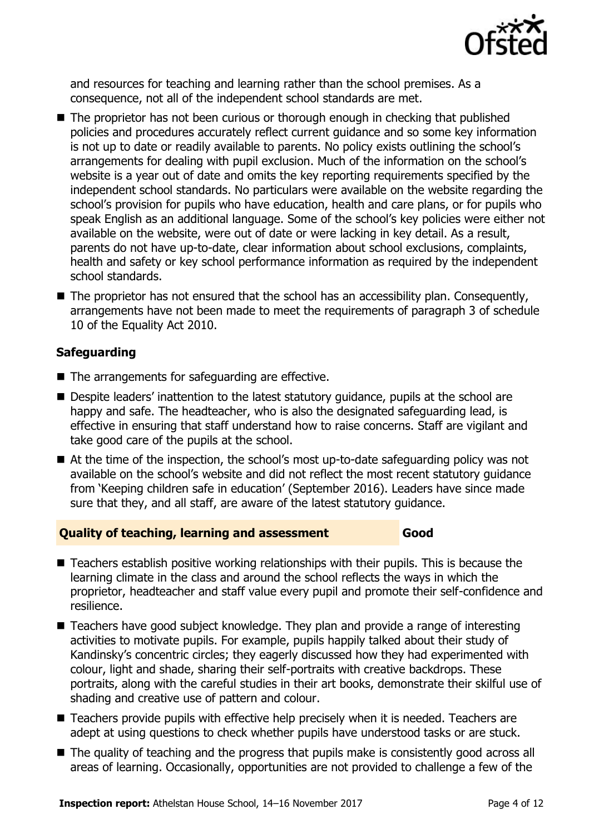

and resources for teaching and learning rather than the school premises. As a consequence, not all of the independent school standards are met.

- The proprietor has not been curious or thorough enough in checking that published policies and procedures accurately reflect current guidance and so some key information is not up to date or readily available to parents. No policy exists outlining the school's arrangements for dealing with pupil exclusion. Much of the information on the school's website is a year out of date and omits the key reporting requirements specified by the independent school standards. No particulars were available on the website regarding the school's provision for pupils who have education, health and care plans, or for pupils who speak English as an additional language. Some of the school's key policies were either not available on the website, were out of date or were lacking in key detail. As a result, parents do not have up-to-date, clear information about school exclusions, complaints, health and safety or key school performance information as required by the independent school standards.
- The proprietor has not ensured that the school has an accessibility plan. Consequently, arrangements have not been made to meet the requirements of paragraph 3 of schedule 10 of the Equality Act 2010.

### **Safeguarding**

- The arrangements for safeguarding are effective.
- **Despite leaders' inattention to the latest statutory quidance, pupils at the school are** happy and safe. The headteacher, who is also the designated safeguarding lead, is effective in ensuring that staff understand how to raise concerns. Staff are vigilant and take good care of the pupils at the school.
- At the time of the inspection, the school's most up-to-date safeguarding policy was not available on the school's website and did not reflect the most recent statutory guidance from 'Keeping children safe in education' (September 2016). Leaders have since made sure that they, and all staff, are aware of the latest statutory guidance.

#### **Quality of teaching, learning and assessment Good**

- Teachers establish positive working relationships with their pupils. This is because the learning climate in the class and around the school reflects the ways in which the proprietor, headteacher and staff value every pupil and promote their self-confidence and resilience.
- Teachers have good subject knowledge. They plan and provide a range of interesting activities to motivate pupils. For example, pupils happily talked about their study of Kandinsky's concentric circles; they eagerly discussed how they had experimented with colour, light and shade, sharing their self-portraits with creative backdrops. These portraits, along with the careful studies in their art books, demonstrate their skilful use of shading and creative use of pattern and colour.
- Teachers provide pupils with effective help precisely when it is needed. Teachers are adept at using questions to check whether pupils have understood tasks or are stuck.
- The quality of teaching and the progress that pupils make is consistently good across all areas of learning. Occasionally, opportunities are not provided to challenge a few of the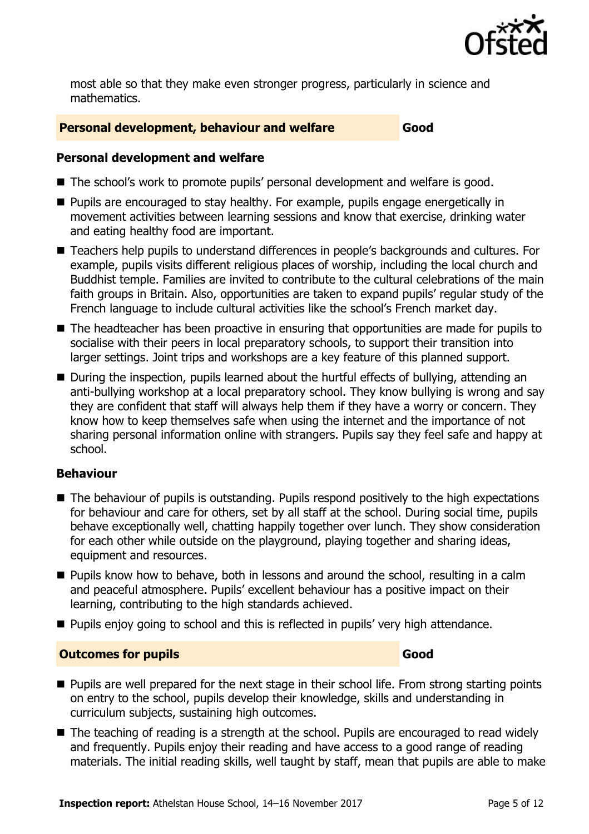

most able so that they make even stronger progress, particularly in science and mathematics.

#### **Personal development, behaviour and welfare Good**

#### **Personal development and welfare**

- The school's work to promote pupils' personal development and welfare is good.
- **Pupils are encouraged to stay healthy. For example, pupils engage energetically in** movement activities between learning sessions and know that exercise, drinking water and eating healthy food are important.
- Teachers help pupils to understand differences in people's backgrounds and cultures. For example, pupils visits different religious places of worship, including the local church and Buddhist temple. Families are invited to contribute to the cultural celebrations of the main faith groups in Britain. Also, opportunities are taken to expand pupils' regular study of the French language to include cultural activities like the school's French market day.
- The headteacher has been proactive in ensuring that opportunities are made for pupils to socialise with their peers in local preparatory schools, to support their transition into larger settings. Joint trips and workshops are a key feature of this planned support.
- During the inspection, pupils learned about the hurtful effects of bullying, attending an anti-bullying workshop at a local preparatory school. They know bullying is wrong and say they are confident that staff will always help them if they have a worry or concern. They know how to keep themselves safe when using the internet and the importance of not sharing personal information online with strangers. Pupils say they feel safe and happy at school.

#### **Behaviour**

- The behaviour of pupils is outstanding. Pupils respond positively to the high expectations for behaviour and care for others, set by all staff at the school. During social time, pupils behave exceptionally well, chatting happily together over lunch. They show consideration for each other while outside on the playground, playing together and sharing ideas, equipment and resources.
- **Pupils know how to behave, both in lessons and around the school, resulting in a calm** and peaceful atmosphere. Pupils' excellent behaviour has a positive impact on their learning, contributing to the high standards achieved.
- **Pupils enjoy going to school and this is reflected in pupils' very high attendance.**

#### **Outcomes for pupils Good**

- **Pupils are well prepared for the next stage in their school life. From strong starting points** on entry to the school, pupils develop their knowledge, skills and understanding in curriculum subjects, sustaining high outcomes.
- The teaching of reading is a strength at the school. Pupils are encouraged to read widely and frequently. Pupils enjoy their reading and have access to a good range of reading materials. The initial reading skills, well taught by staff, mean that pupils are able to make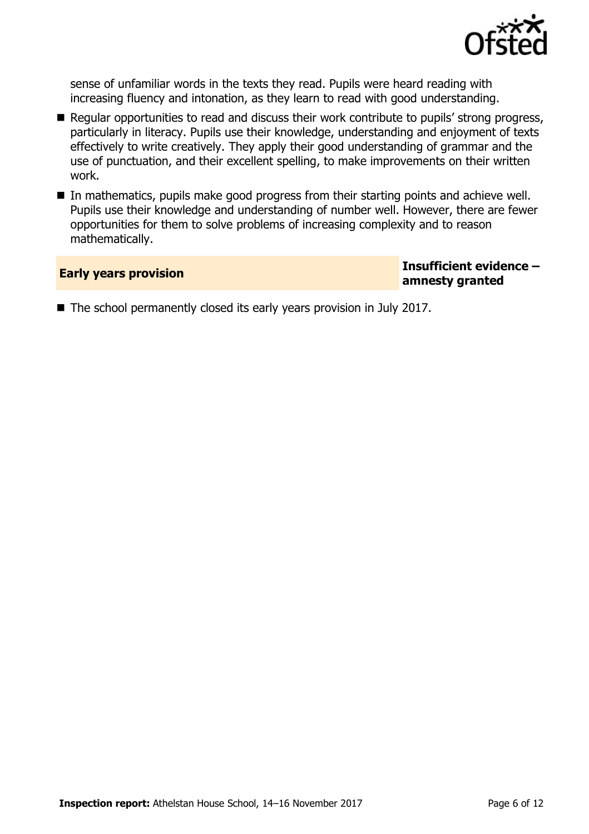

sense of unfamiliar words in the texts they read. Pupils were heard reading with increasing fluency and intonation, as they learn to read with good understanding.

- Regular opportunities to read and discuss their work contribute to pupils' strong progress, particularly in literacy. Pupils use their knowledge, understanding and enjoyment of texts effectively to write creatively. They apply their good understanding of grammar and the use of punctuation, and their excellent spelling, to make improvements on their written work.
- In mathematics, pupils make good progress from their starting points and achieve well. Pupils use their knowledge and understanding of number well. However, there are fewer opportunities for them to solve problems of increasing complexity and to reason mathematically.

**Early years provision Insufficient evidence – amnesty granted**

The school permanently closed its early years provision in July 2017.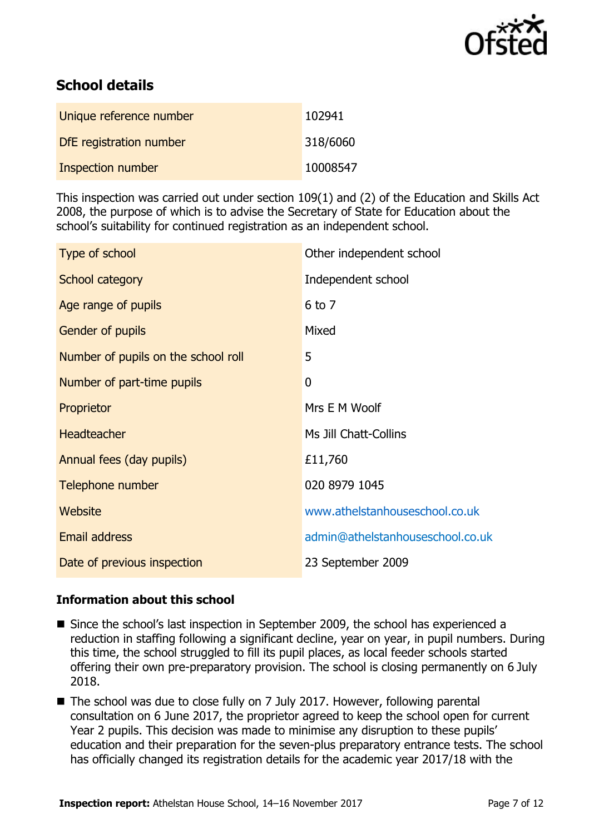

# **School details**

| Unique reference number | 102941   |
|-------------------------|----------|
| DfE registration number | 318/6060 |
| Inspection number       | 10008547 |

This inspection was carried out under section 109(1) and (2) of the Education and Skills Act 2008, the purpose of which is to advise the Secretary of State for Education about the school's suitability for continued registration as an independent school.

| Type of school                      | Other independent school         |
|-------------------------------------|----------------------------------|
| School category                     | Independent school               |
| Age range of pupils                 | $6$ to $7$                       |
| Gender of pupils                    | Mixed                            |
| Number of pupils on the school roll | 5                                |
| Number of part-time pupils          | 0                                |
| Proprietor                          | Mrs E M Woolf                    |
| <b>Headteacher</b>                  | Ms Jill Chatt-Collins            |
| Annual fees (day pupils)            | £11,760                          |
| Telephone number                    | 020 8979 1045                    |
| <b>Website</b>                      | www.athelstanhouseschool.co.uk   |
| <b>Email address</b>                | admin@athelstanhouseschool.co.uk |
| Date of previous inspection         | 23 September 2009                |

#### **Information about this school**

- Since the school's last inspection in September 2009, the school has experienced a reduction in staffing following a significant decline, year on year, in pupil numbers. During this time, the school struggled to fill its pupil places, as local feeder schools started offering their own pre-preparatory provision. The school is closing permanently on 6 July 2018.
- The school was due to close fully on 7 July 2017. However, following parental consultation on 6 June 2017, the proprietor agreed to keep the school open for current Year 2 pupils. This decision was made to minimise any disruption to these pupils' education and their preparation for the seven-plus preparatory entrance tests. The school has officially changed its registration details for the academic year 2017/18 with the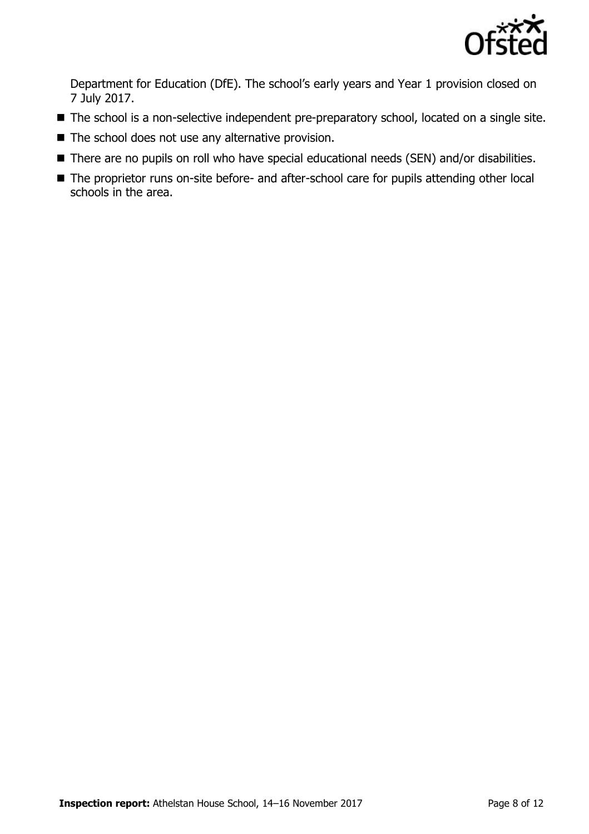

Department for Education (DfE). The school's early years and Year 1 provision closed on 7 July 2017.

- The school is a non-selective independent pre-preparatory school, located on a single site.
- The school does not use any alternative provision.
- There are no pupils on roll who have special educational needs (SEN) and/or disabilities.
- The proprietor runs on-site before- and after-school care for pupils attending other local schools in the area.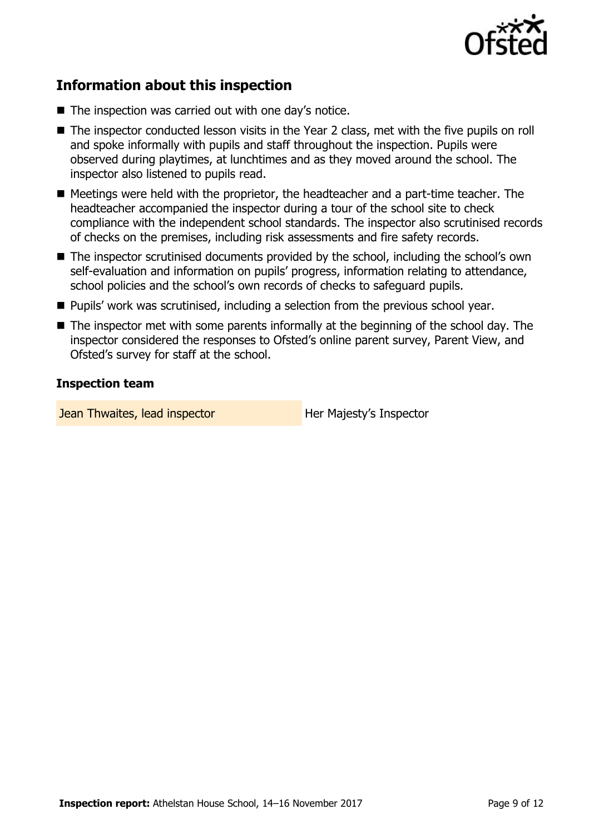

# **Information about this inspection**

- The inspection was carried out with one day's notice.
- The inspector conducted lesson visits in the Year 2 class, met with the five pupils on roll and spoke informally with pupils and staff throughout the inspection. Pupils were observed during playtimes, at lunchtimes and as they moved around the school. The inspector also listened to pupils read.
- Meetings were held with the proprietor, the headteacher and a part-time teacher. The headteacher accompanied the inspector during a tour of the school site to check compliance with the independent school standards. The inspector also scrutinised records of checks on the premises, including risk assessments and fire safety records.
- The inspector scrutinised documents provided by the school, including the school's own self-evaluation and information on pupils' progress, information relating to attendance, school policies and the school's own records of checks to safeguard pupils.
- **Pupils' work was scrutinised, including a selection from the previous school year.**
- $\blacksquare$  The inspector met with some parents informally at the beginning of the school day. The inspector considered the responses to Ofsted's online parent survey, Parent View, and Ofsted's survey for staff at the school.

#### **Inspection team**

**Jean Thwaites, lead inspector Figure 10 Her Majesty's Inspector**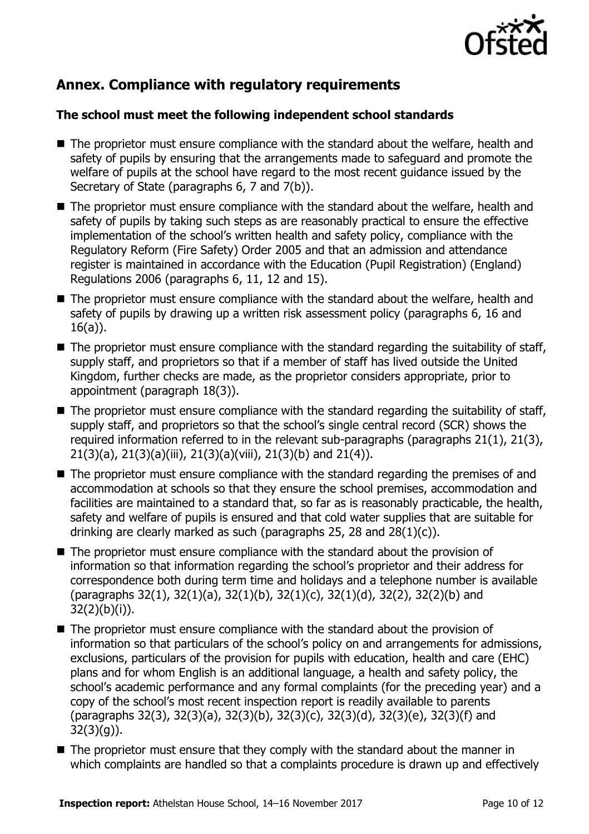

# **Annex. Compliance with regulatory requirements**

### **The school must meet the following independent school standards**

- The proprietor must ensure compliance with the standard about the welfare, health and safety of pupils by ensuring that the arrangements made to safeguard and promote the welfare of pupils at the school have regard to the most recent guidance issued by the Secretary of State (paragraphs 6, 7 and 7(b)).
- The proprietor must ensure compliance with the standard about the welfare, health and safety of pupils by taking such steps as are reasonably practical to ensure the effective implementation of the school's written health and safety policy, compliance with the Regulatory Reform (Fire Safety) Order 2005 and that an admission and attendance register is maintained in accordance with the Education (Pupil Registration) (England) Regulations 2006 (paragraphs 6, 11, 12 and 15).
- The proprietor must ensure compliance with the standard about the welfare, health and safety of pupils by drawing up a written risk assessment policy (paragraphs 6, 16 and 16(a)).
- $\blacksquare$  The proprietor must ensure compliance with the standard regarding the suitability of staff, supply staff, and proprietors so that if a member of staff has lived outside the United Kingdom, further checks are made, as the proprietor considers appropriate, prior to appointment (paragraph 18(3)).
- $\blacksquare$  The proprietor must ensure compliance with the standard regarding the suitability of staff, supply staff, and proprietors so that the school's single central record (SCR) shows the required information referred to in the relevant sub-paragraphs (paragraphs 21(1), 21(3), 21(3)(a), 21(3)(a)(iii), 21(3)(a)(viii), 21(3)(b) and 21(4)).
- The proprietor must ensure compliance with the standard regarding the premises of and accommodation at schools so that they ensure the school premises, accommodation and facilities are maintained to a standard that, so far as is reasonably practicable, the health, safety and welfare of pupils is ensured and that cold water supplies that are suitable for drinking are clearly marked as such (paragraphs  $25$ ,  $28$  and  $28(1)(c)$ ).
- The proprietor must ensure compliance with the standard about the provision of information so that information regarding the school's proprietor and their address for correspondence both during term time and holidays and a telephone number is available (paragraphs 32(1), 32(1)(a), 32(1)(b), 32(1)(c), 32(1)(d), 32(2), 32(2)(b) and 32(2)(b)(i)).
- The proprietor must ensure compliance with the standard about the provision of information so that particulars of the school's policy on and arrangements for admissions, exclusions, particulars of the provision for pupils with education, health and care (EHC) plans and for whom English is an additional language, a health and safety policy, the school's academic performance and any formal complaints (for the preceding year) and a copy of the school's most recent inspection report is readily available to parents (paragraphs 32(3), 32(3)(a), 32(3)(b), 32(3)(c), 32(3)(d), 32(3)(e), 32(3)(f) and 32(3)(g)).
- The proprietor must ensure that they comply with the standard about the manner in which complaints are handled so that a complaints procedure is drawn up and effectively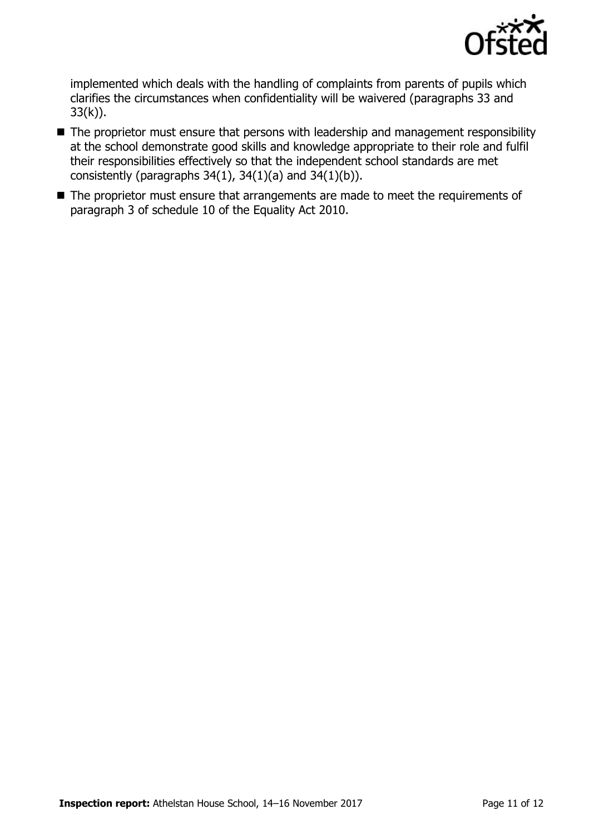

implemented which deals with the handling of complaints from parents of pupils which clarifies the circumstances when confidentiality will be waivered (paragraphs 33 and  $33(k)$ ).

- The proprietor must ensure that persons with leadership and management responsibility at the school demonstrate good skills and knowledge appropriate to their role and fulfil their responsibilities effectively so that the independent school standards are met consistently (paragraphs  $34(1)$ ,  $34(1)(a)$  and  $34(1)(b)$ ).
- The proprietor must ensure that arrangements are made to meet the requirements of paragraph 3 of schedule 10 of the Equality Act 2010.